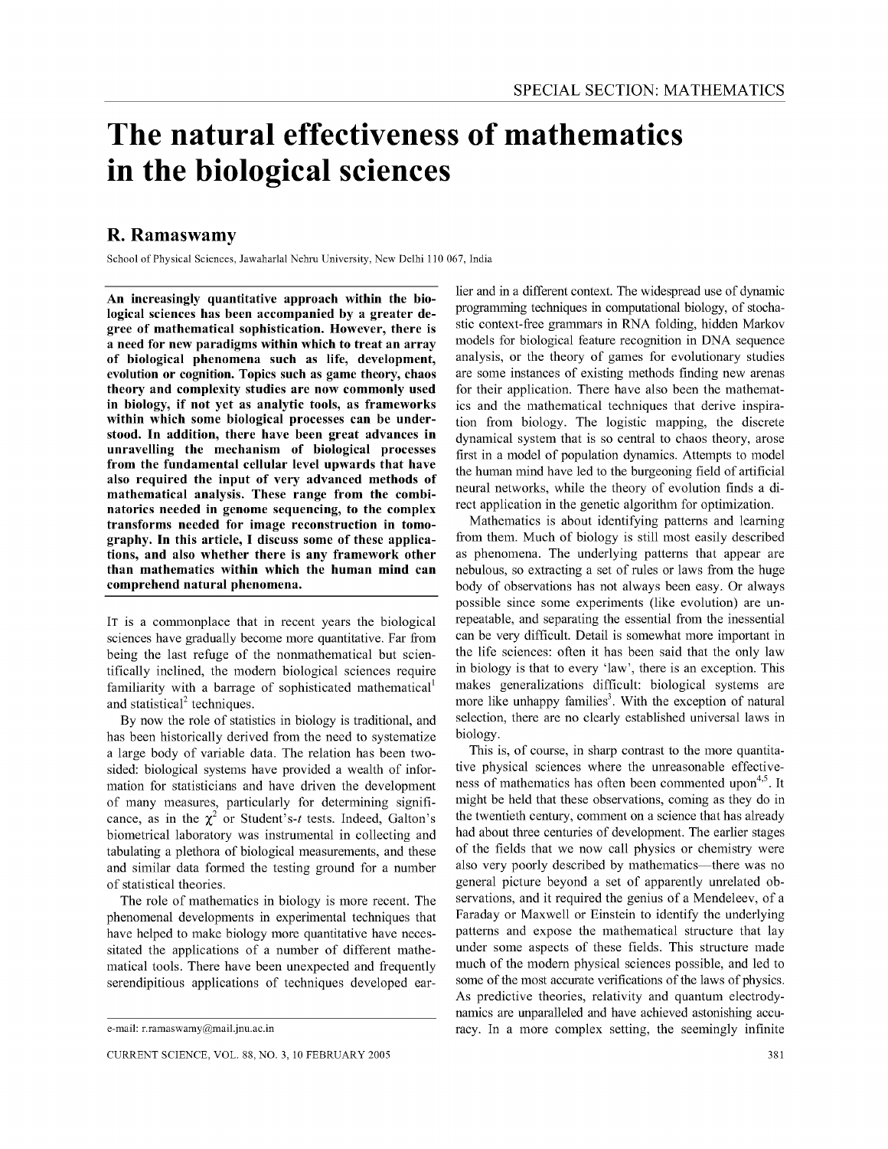# **The natural effectiveness of mathematics in the biological sciences**

# R. Ramaswamy

School of Physical Sciences, Iawaharlal Nehru University, New Delhi 110 067, India

An increasingly quantitative approach within the biological sciences has been accompanied by a greater degree of mathematical sophistication. However, there is a need for new paradigms within which to treat an array of biological phenomena such as life, development, evolution or cognition. Topics such as game theory, chaos theory and complexity studies are now commonly used in biology, if not yet as analytic tools, as frameworks within which some biological processes can be understood. In addition, there have been great advances in unravelling the mechanism of biological processes from the fundamental cellular level upwards that have also required the input of very advanced methods of mathematical analysis. These range from the combinatorics needed in genome sequencing, to the complex transforms needed for image reconstruction in tomography. In this article, I discuss some of these applications, and also whether there is any framework other than mathematics within which the human mind can comprehend natural phenomena.

IT is a commonplace that in recent years the biological sciences have gradually become more quantitative, Far from being the last refuge of the nonmathematical but scientifically inclined, the modem biological sciences require familiarity with a barrage of sophisticated mathematical and statistical<sup>2</sup> techniques.

By now the role of statistics in biology is traditional, and has been historically derived from the need to systematize a large body of variable data, The relation has been twosided: biological systems have provided a wealth of information for statisticians and have driven the development of many measures, particularly for determining significance, as in the  $\chi^2$  or Student's-t tests. Indeed, Galton's biometrical laboratory was instrumental in collecting and tabulating a plethora of biological measurements, and these and similar data formed the testing ground for a number of statistical theories,

The role of mathematics in biology is more recent. The phenomenal developments in experimental techniques that have helped to make biology more quantitative have necessitated the applications of a number of different mathematical tools, There have been unexpected and frequently serendipitious applications of techniques developed ear-

lier and in a different context. The widespread use of dynamic programming techniques in computational biology, of stochastic context-free grammars in RNA folding, hidden Markov models for biological feature recognition in DNA sequence analysis, or the theory of games for evolutionary studies are some instances of existing methods finding new arenas for their application. There have also been the mathematics and the mathematical techniques that derive inspiration from biology. The logistic mapping, the discrete dynamical system that is so central to chaos theory, arose first in a model of population dynamics. Attempts to model the human mind have led to the burgeoning field of artificial neural networks, while the theory of evolution finds a direct application in the genetic algorithm for optimization.

Mathematics is about identifying patterns and learning from them. Much of biology is still most easily described as phenomena. The underlying patterns that appear are nebulous, so extracting a set of rules or laws from the huge body of observations has not always been easy. Or always possible since some experiments (like evolution) are unrepeatable, and separating the essential from the inessential can be very difficult. Detail is somewhat more important in the life sciences: often it has been said that the only law in biology is that to every 'law', there is an exception. This makes generalizations difficult: biological systems are more like unhappy families<sup>3</sup>. With the exception of natural selection, there are no clearly established universal laws in biology.

This is, of course, in sharp contrast to the more quantitative physical sciences where the unreasonable effectiveness of mathematics has often been commented upon<sup>4,5</sup>. It might be held that these observations, coming as they do in the twentieth century, comment on a science that has already had about three centuries of development. The earlier stages of the fields that we now call physics or chemistry were also very poorly described by mathematics—there was no general picture beyond a set of apparently unrelated observations, and it required the genius of a Mendeleev, of a Faraday or Maxwell or Einstein to identify the underlying patterns and expose the mathematical structure that lay under some aspects of these fields. This structure made much of the modem physical sciences possible, and led to some of the most accurate verifications of the laws of physics. As predictive theories, relativity and quantum electrodynamics are unparalleled and have achieved astonishing accuracy. In a more complex setting, the seemingly infinite

e-mail: r.ramaswamy@mai1.jnu.ac.in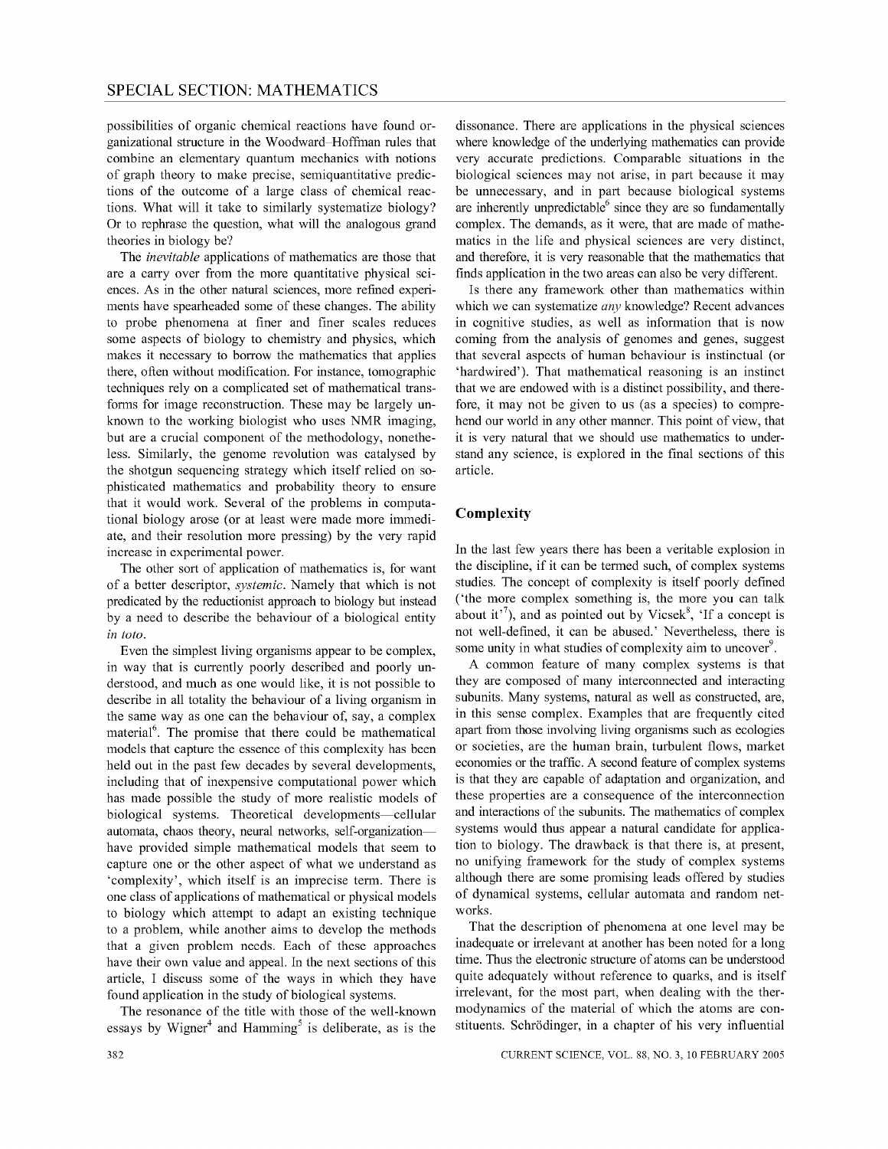possibilities of organic chemical reactions have found organizational structure in the Woodward-Hoffman rules that combine an elementary quantum mechanics with notions of graph theory to make precise, semiquantitative predictions of the outcome of a large class of chemical reactions. What will it take to similarly systematize biology? Or to rephrase the question, what will the analogous grand theories in biology be?

The *inevitable* applications of mathematics are those that are a carry over from the more quantitative physical sciences. As in the other natural sciences, more refined experiments have spearheaded some of these changes. The ability to probe phenomena at finer and finer scales reduces some aspects of biology to chemistry and physics, which makes it necessary to borrow the mathematics that applies there, often without modification. For instance, tomographic techniques rely on a complicated set of mathematical transforms for image reconstruction. These may be largely unknown to the working biologist who uses NMR imaging, but are a crucial component of the methodology, nonetheless. Similarly, the genome revolution was catalysed by the shotgun sequencing strategy which itself relied on sophisticated mathematics and probability theory to ensure that it would work. Several of the problems in computational biology arose (or at least were made more immediate, and their resolution more pressing) by the very rapid increase in experimental power.

The other sort of application of mathematics is, for want of a better descriptor, *systemic.* Namely that which is not predicated by the reductionist approach to biology but instead by a need to describe the behaviour of a biological entity *in toto.* 

Even the simplest living organisms appear to be complex, in way that is currently poorly described and poorly understood, and much as one would like, it is not possible to describe in all totality the behaviour of a living organism in the same way as one can the behaviour of, say, a complex material<sup>6</sup>. The promise that there could be mathematical models that capture the essence of this complexity has been held out in the past few decades by several developments, including that of inexpensive computational power which has made possible the study of more realistic models of biological systems. Theoretical developments-cellular automata, chaos theory, neural networks, self-organizationhave provided simple mathematical models that seem to capture one or the other aspect of what we understand as 'complexity', which itself is an imprecise term. There is one class of applications of mathematical or physical models to biology which attempt to adapt an existing technique to a problem, while another aims to develop the methods that a given problem needs. Each of these approaches have their own value and appeal. In the next sections of this article, I discuss some of the ways in which they have found application in the study of biological systems.

The resonance of the title with those of the well-known essays by Wigner<sup>4</sup> and Hamming<sup>5</sup> is deliberate, as is the

dissonance. There are applications in the physical sciences where knowledge of the underlying mathematics can provide very accurate predictions. Comparable situations in the biological sciences may not arise, in part because it may be unnecessary, and in part because biological systems are inherently unpredictable $6$  since they are so fundamentally complex. The demands, as it were, that are made of mathematics in the life and physical sciences are very distinct, and therefore, it is very reasonable that the mathematics that finds application in the two areas can also be very different.

Is there any framework other than mathematics within which we can systematize *any* knowledge? Recent advances in cognitive studies, as well as information that is now coming from the analysis of genomes and genes, suggest that several aspects of human behaviour is instinctual (or 'hardwired'). That mathematical reasoning is an instinct that we are endowed with is a distinct possibility, and therefore, it may not be given to us (as a species) to comprehend our world in any other manner. This point of view, that it is very natural that we should use mathematics to understand any science, is explored in the final sections of this article.

#### **Complexity**

In the last few years there has been a veritable explosion in the discipline, if it can be termed such, of complex systems studies. The concept of complexity is itself poorly defined ('the more complex something is, the more you can talk about it<sup>'7</sup>), and as pointed out by Vicsek $\frac{8}{3}$ , 'If a concept is not well-defined, it can be abused.' Nevertheless, there is some unity in what studies of complexity aim to uncover<sup>9</sup>.

A common feature of many complex systems is that they are composed of many interconnected and interacting subunits. Many systems, natural as well as constructed, are, in this sense complex. Examples that are frequently cited apart from those involving living organisms such as ecologies or societies, are the human brain, turbulent flows, market economies or the traffic. A second feature of complex systems is that they are capable of adaptation and organization, and these properties are a consequence of the interconnection and interactions of the subunits. The mathematics of complex systems would thus appear a natural candidate for application to biology. The drawback is that there is, at present, no unifying framework for the study of complex systems although there are some promising leads offered by studies of dynamical systems, cellular automata and random networks.

That the description of phenomena at one level may be inadequate or irrelevant at another has been noted for a long time. Thus the electronic structure of atoms can be understood quite adequately without reference to quarks, and is itself irrelevant, for the most part, when dealing with the thermodynamics of the material of which the atoms are constituents. Schrodinger, in a chapter of his very influential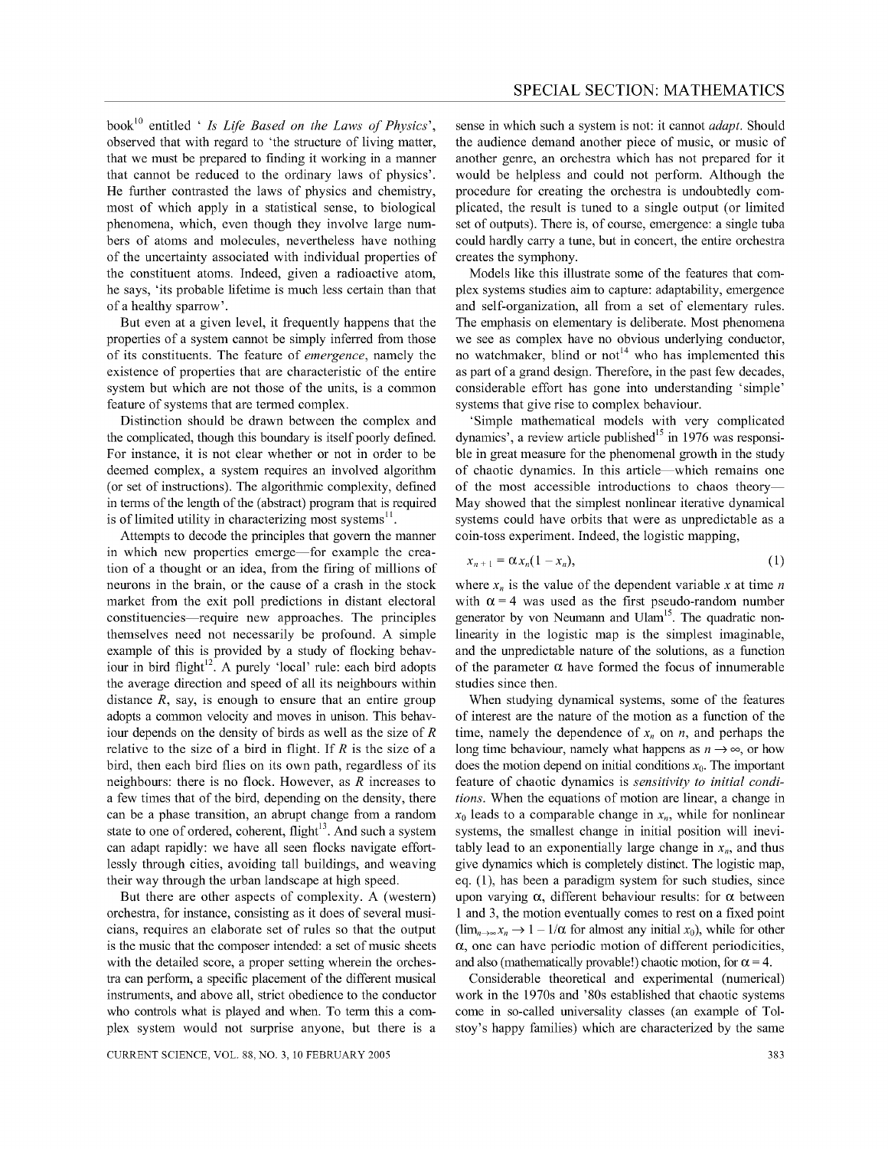book<sup>10</sup> entitled ' *Is Life Based on the Laws of Physics*', observed that with regard to 'the structure of living matter, that we must be prepared to finding it working in a manner that cannot be reduced to the ordinary laws of physics'. He further contrasted the laws of physics and chemistry, most of which apply in a statistical sense, to biological phenomena, which, even though they involve large numbers of atoms and molecules, nevertheless have nothing of the uncertainty associated with individual properties of the constituent atoms. Indeed, given a radioactive atom, he says, 'its probable lifetime is much less certain than that of a healthy sparrow' .

But even at a given level, it frequently happens that the properties of a system cannot be simply inferred from those of its constituents. The feature of *emergence,* namely the existence of properties that are characteristic of the entire system but which are not those of the units, is a common feature of systems that are termed complex.

Distinction should be drawn between the complex and the complicated, though this boundary is itself poorly defined. For instance, it is not clear whether or not in order to be deemed complex, a system requires an involved algorithm (or set of instructions). The algorithmic complexity, defined in terms of the length of the (abstract) program that is required is of limited utility in characterizing most systems $<sup>11</sup>$ .</sup>

Attempts to decode the principles that govern the manner in which new properties emerge—for example the creation of a thought or an idea, from the firing of millions of neurons in the brain, or the cause of a crash in the stock market from the exit poll predictions in distant electoral constituencies-require new approaches. The principles themselves need not necessarily be profound. A simple example of this is provided by a study of flocking behaviour in bird flight<sup>12</sup>. A purely 'local' rule: each bird adopts the average direction and speed of all its neighbours within distance  $R$ , say, is enough to ensure that an entire group adopts a common velocity and moves in unison. This behaviour depends on the density of birds as well as the size of *R*  relative to the size of a bird in flight. If *R* is the size of a bird, then each bird flies on its own path, regardless of its neighbours: there is no flock. However, as *R* increases to a few times that of the bird, depending on the density, there can be a phase transition, an abrupt change from a random state to one of ordered, coherent, flight $13$ . And such a system can adapt rapidly: we have all seen flocks navigate effortlessly through cities, avoiding tall buildings, and weaving their way through the urban landscape at high speed.

But there are other aspects of complexity. A (western) orchestra, for instance, consisting as it does of several musicians, requires an elaborate set of rules so that the output is the music that the composer intended: a set of music sheets with the detailed score, a proper setting wherein the orchestra can perform, a specific placement of the different musical instruments, and above all, strict obedience to the conductor who controls what is played and when. To term this a complex system would not surprise anyone, but there is a

sense in which such a system is not: it cannot *adapt.* Should the audience demand another piece of music, or music of another genre, an orchestra which has not prepared for it would be helpless and could not perform. Although the procedure for creating the orchestra is undoubtedly complicated, the result is tuned to a single output (or limited set of outputs). There is, of course, emergence: a single tuba could hardly carry a tune, but in concert, the entire orchestra creates the symphony.

Models like this illustrate some of the features that complex systems studies aim to capture: adaptability, emergence and self-organization, all from a set of elementary rules. The emphasis on elementary is deliberate. Most phenomena we see as complex have no obvious underlying conductor, no watchmaker, blind or not<sup>14</sup> who has implemented this as part of a grand design. Therefore, in the past few decades, considerable effort has gone into understanding 'simple' systems that give rise to complex behaviour.

'Simple mathematical models with very complicated dynamics', a review article published<sup>15</sup> in 1976 was responsible in great measure for the phenomenal growth in the study of chaotic dynamics. In this article-which remains one of the most accessible introductions to chaos theory-May showed that the simplest nonlinear iterative dynamical systems could have orbits that were as unpredictable as a coin-toss experiment. Indeed, the logistic mapping,

$$
x_{n+1} = \alpha x_n (1-x_n), \tag{1}
$$

where  $x_n$  is the value of the dependent variable x at time *n* with  $\alpha = 4$  was used as the first pseudo-random number generator by von Neumann and Ulam<sup>15</sup>. The quadratic nonlinearity in the logistic map is the simplest imaginable, and the unpredictable nature of the solutions, as a function of the parameter  $\alpha$  have formed the focus of innumerable studies since then.

When studying dynamical systems, some of the features of interest are the nature of the motion as a function of the time, namely the dependence of  $x_n$  on  $n$ , and perhaps the long time behaviour, namely what happens as  $n \to \infty$ , or how does the motion depend on initial conditions  $x_0$ . The important feature of chaotic dynamics is *sensitivity to initial conditions.* When the equations of motion are linear, a change in  $x_0$  leads to a comparable change in  $x_n$ , while for nonlinear systems, the smallest change in initial position will inevitably lead to an exponentially large change in  $x_n$ , and thus give dynamics which is completely distinct. The logistic map, eq. (1), has been a paradigm system for such studies, since upon varying  $\alpha$ , different behaviour results: for  $\alpha$  between 1 and 3, the motion eventually comes to rest on a fixed point  $(\lim_{n\to\infty}x_n\to 1-1/\alpha$  for almost any initial  $x_0$ ), while for other  $\alpha$ , one can have periodic motion of different periodicities, and also (mathematically provable!) chaotic motion, for  $\alpha = 4$ .

Considerable theoretical and experimental (numerical) work in the 1970s and '80s established that chaotic systems come in so-called universality classes (an example of Tolstoy's happy families) which are characterized by the same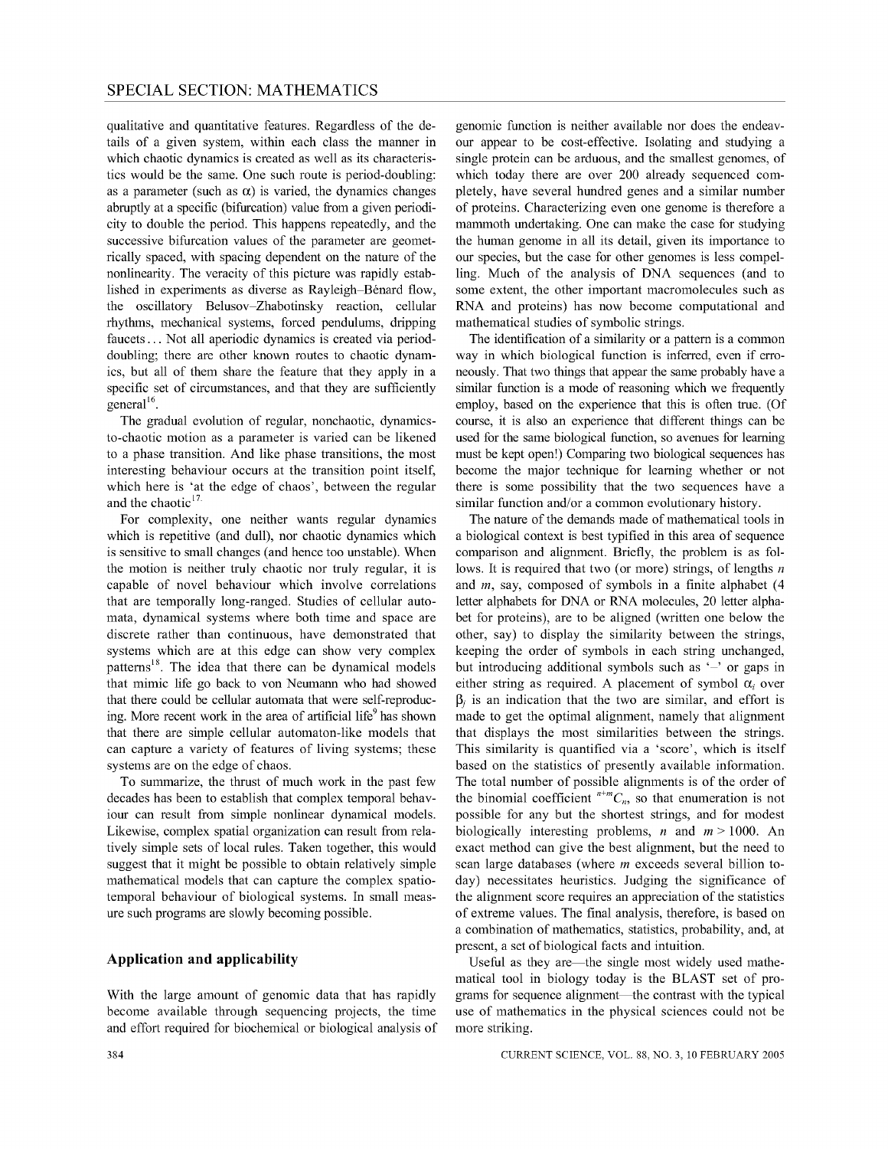qualitative and quantitative features. Regardless of the details of a given system, within each class the manner in which chaotic dynamics is created as well as its characteristics would be the same. One such route is period-doubling: as a parameter (such as  $\alpha$ ) is varied, the dynamics changes abruptly at a specific (bifurcation) value from a given periodicity to double the period. This happens repeatedly, and the successive bifurcation values of the parameter are geometrically spaced, with spacing dependent on the nature of the nonlinearity. The veracity of this picture was rapidly established in experiments as diverse as Rayleigh-Bénard flow, the oscillatory Belusov-Zhabotinsky reaction, cellular rhythms, mechanical systems, forced pendulums, dripping faucets ... Not all aperiodic dynamics is created via perioddoubling; there are other known routes to chaotic dynamics, but all of them share the feature that they apply in a specific set of circumstances, and that they are sufficiently general<sup>16</sup>.

The gradual evolution of regular, nonchaotic, dynamicsto-chaotic motion as a parameter is varied can be likened to a phase transition. And like phase transitions, the most interesting behaviour occurs at the transition point itself, which here is 'at the edge of chaos', between the regular and the chaotic $17$ 

For complexity, one neither wants regular dynamics which is repetitive (and dull), nor chaotic dynamics which is sensitive to small changes (and hence too unstable). When the motion is neither truly chaotic nor truly regular, it is capable of novel behaviour which involve correlations that are temporally long-ranged. Studies of cellular automata, dynamical systems where both time and space are discrete rather than continuous, have demonstrated that systems which are at this edge can show very complex patterns<sup>18</sup>. The idea that there can be dynamical models that mimic life go back to von Neumann who had showed that there could be cellular automata that were self-reproducing. More recent work in the area of artificial life<sup>9</sup> has shown that there are simple cellular automaton-like models that can capture a variety of features of living systems; these systems are on the edge of chaos.

To summarize, the thrust of much work in the past few decades has been to establish that complex temporal behaviour can result from simple nonlinear dynamical models. Likewise, complex spatial organization can result from relatively simple sets of local rules. Taken together, this would suggest that it might be possible to obtain relatively simple mathematical models that can capture the complex spatiotemporal behaviour of biological systems. In small measure such programs are slowly becoming possible.

## **Application and applicability**

With the large amount of genomic data that has rapidly become available through sequencing projects, the time and effort required for biochemical or biological analysis of

genomic function is neither available nor does the endeavour appear to be cost-effective. Isolating and studying a single protein can be arduous, and the smallest genomes, of which today there are over 200 already sequenced completely, have several hundred genes and a similar number of proteins. Characterizing even one genome is therefore a mammoth undertaking. One can make the case for studying the human genome in all its detail, given its importance to our species, but the case for other genomes is less compelling. Much of the analysis of DNA sequences (and to some extent, the other important macromolecules such as RNA and proteins) has now become computational and mathematical studies of symbolic strings.

The identification of a similarity or a pattern is a common way in which biological function is inferred, even if erroneously. That two things that appear the same probably have a similar function is a mode of reasoning which we frequently employ, based on the experience that this is often true. (Of course, it is also an experience that different things can be used for the same biological function, so avenues for learning must be kept open!) Comparing two biological sequences has become the major technique for learning whether or not there is some possibility that the two sequences have a similar function and/or a common evolutionary history.

The nature of the demands made of mathematical tools in a biological context is best typified in this area of sequence comparison and alignment. Briefly, the problem is as follows. It is required that two (or more) strings, of lengths *n*  and *m,* say, composed of symbols in a finite alphabet (4 letter alphabets for DNA or RNA molecules, 20 letter alphabet for proteins), are to be aligned (written one below the other, say) to display the similarity between the strings, keeping the order of symbols in each string unchanged, but introducing additional symbols such as  $-$  or gaps in either string as required. A placement of symbol  $\alpha_i$  over  $\beta_i$  is an indication that the two are similar, and effort is made to get the optimal alignment, namely that alignment that displays the most similarities between the strings. This similarity is quantified via a 'score', which is itself based on the statistics of presently available information. The total number of possible alignments is of the order of the binomial coefficient  $n+mC_n$ , so that enumeration is not possible for any but the shortest strings, and for modest biologically interesting problems, *n* and  $m > 1000$ . An exact method can give the best alignment, but the need to scan large databases (where *m* exceeds several billion today) necessitates heuristics. Judging the significance of the alignment score requires an appreciation of the statistics of extreme values. The final analysis, therefore, is based on a combination of mathematics, statistics, probability, and, at present, a set of biological facts and intuition.

Useful as they are—the single most widely used mathematical tool in biology today is the BLAST set of programs for sequence alignment—the contrast with the typical use of mathematics in the physical sciences could not be more striking.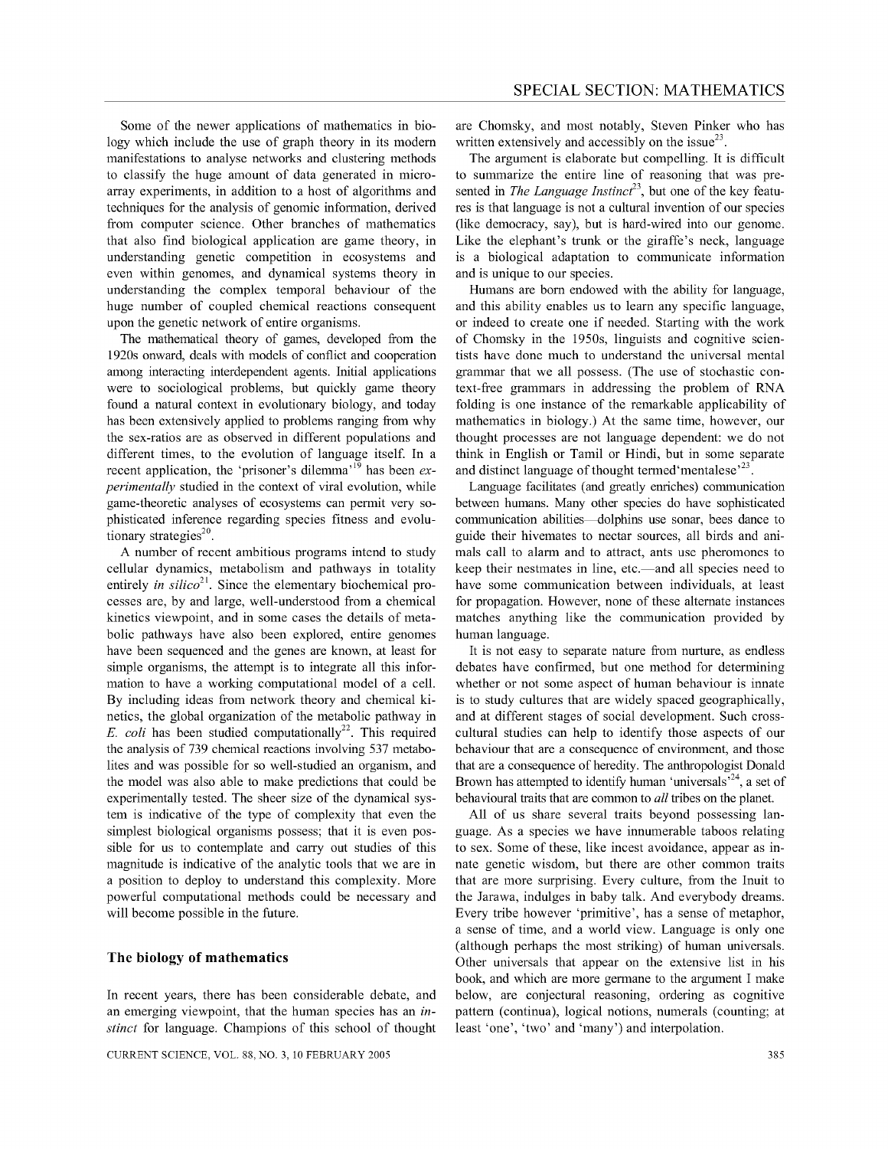Some of the newer applications of mathematics in biology which include the use of graph theory in its modem manifestations to analyse networks and clustering methods to classify the huge amount of data generated in microarray experiments, in addition to a host of algorithms and techniques for the analysis of genomic information, derived from computer science. Other branches of mathematics that also find biological application are game theory, in understanding genetic competition in ecosystems and even within genomes, and dynamical systems theory in understanding the complex temporal behaviour of the huge number of coupled chemical reactions consequent upon the genetic network of entire organisms.

The mathematical theory of games, developed from the 1920s onward, deals with models of conflict and cooperation among interacting interdependent agents. Initial applications were to sociological problems, but quickly game theory found a natural context in evolutionary biology, and today has been extensively applied to problems ranging from why the sex-ratios are as observed in different populations and different times, to the evolution of language itself. In a recent application, the 'prisoner's dilemma<sup>,19</sup> has been *experimentally* studied in the context of viral evolution, while game-theoretic analyses of ecosystems can permit very sophisticated inference regarding species fitness and evolutionary strategies $^{20}$ .

A number of recent ambitious programs intend to study cellular dynamics, metabolism and pathways in totality entirely *in silico*<sup>21</sup>. Since the elementary biochemical processes are, by and large, well-understood from a chemical kinetics viewpoint, and in some cases the details of metabolic pathways have also been explored, entire genomes have been sequenced and the genes are known, at least for simple organisms, the attempt is to integrate all this information to have a working computational model of a cell. By including ideas from network theory and chemical kinetics, the global organization of the metabolic pathway in *E. coli* has been studied computationally<sup>22</sup>. This required the analysis of 739 chemical reactions involving 537 metabolites and was possible for so well-studied an organism, and the model was also able to make predictions that could be experimentally tested. The sheer size of the dynamical system is indicative of the type of complexity that even the simplest biological organisms possess; that it is even possible for us to contemplate and carry out studies of this magnitude is indicative of the analytic tools that we are in a position to deploy to understand this complexity. More powerful computational methods could be necessary and will become possible in the future.

### **The biology of mathematics**

In recent years, there has been considerable debate, and an emerging viewpoint, that the human species has an *instinct* for language. Champions of this school of thought are Chomsky, and most notably, Steven Pinker who has written extensively and accessibly on the issue $^{23}$ .

The argument is elaborate but compelling. It is difficult to summarize the entire line of reasoning that was presented in *The Language Instinct*<sup>23</sup>, but one of the key features is that language is not a cultural invention of our species (like democracy, say), but is hard-wired into our genome. Like the elephant's trunk or the giraffe's neck, language is a biological adaptation to communicate information and is unique to our species.

Humans are born endowed with the ability for language, and this ability enables us to learn any specific language, or indeed to create one if needed. Starting with the work of Chomsky in the 1950s, linguists and cognitive scientists have done much to understand the universal mental grammar that we all possess. (The use of stochastic context-free grammars in addressing the problem of RNA folding is one instance of the remarkable applicability of mathematics in biology.) At the same time, however, our thought processes are not language dependent: we do not think in English or Tamil or Hindi, but in some separate and distinct language of thought termed 'mentalese'<sup>23</sup>.

Language facilitates (and greatly enriches) communication between humans. Many other species do have sophisticated communication abilities---dolphins use sonar, bees dance to guide their hivemates to nectar sources, all birds and animals call to alarm and to attract, ants use pheromones to keep their nestmates in line, etc.--and all species need to have some communication between individuals, at least for propagation. However, none of these alternate instances matches anything like the communication provided by human language.

It is not easy to separate nature from nurture, as endless debates have confirmed, but one method for determining whether or not some aspect of human behaviour is innate is to study cultures that are widely spaced geographically, and at different stages of social development. Such crosscultural studies can help to identify those aspects of our behaviour that are a consequence of environment, and those that are a consequence of heredity. The anthropologist Donald Brown has attempted to identify human 'universals, $24$ , a set of behavioural traits that are common to *all* tribes on the planet.

All of us share several traits beyond possessing language. As a species we have innumerable taboos relating to sex. Some of these, like incest avoidance, appear as innate genetic wisdom, but there are other common traits that are more surprising. Every culture, from the Inuit to the Jarawa, indulges in baby talk. And everybody dreams. Every tribe however 'primitive', has a sense of metaphor, a sense of time, and a world view. Language is only one (although perhaps the most striking) of human universals. Other universals that appear on the extensive list in his book, and which are more germane to the argument I make below, are conjectural reasoning, ordering as cognitive pattern (continua), logical notions, numerals (counting; at least 'one', 'two' and 'many') and interpolation.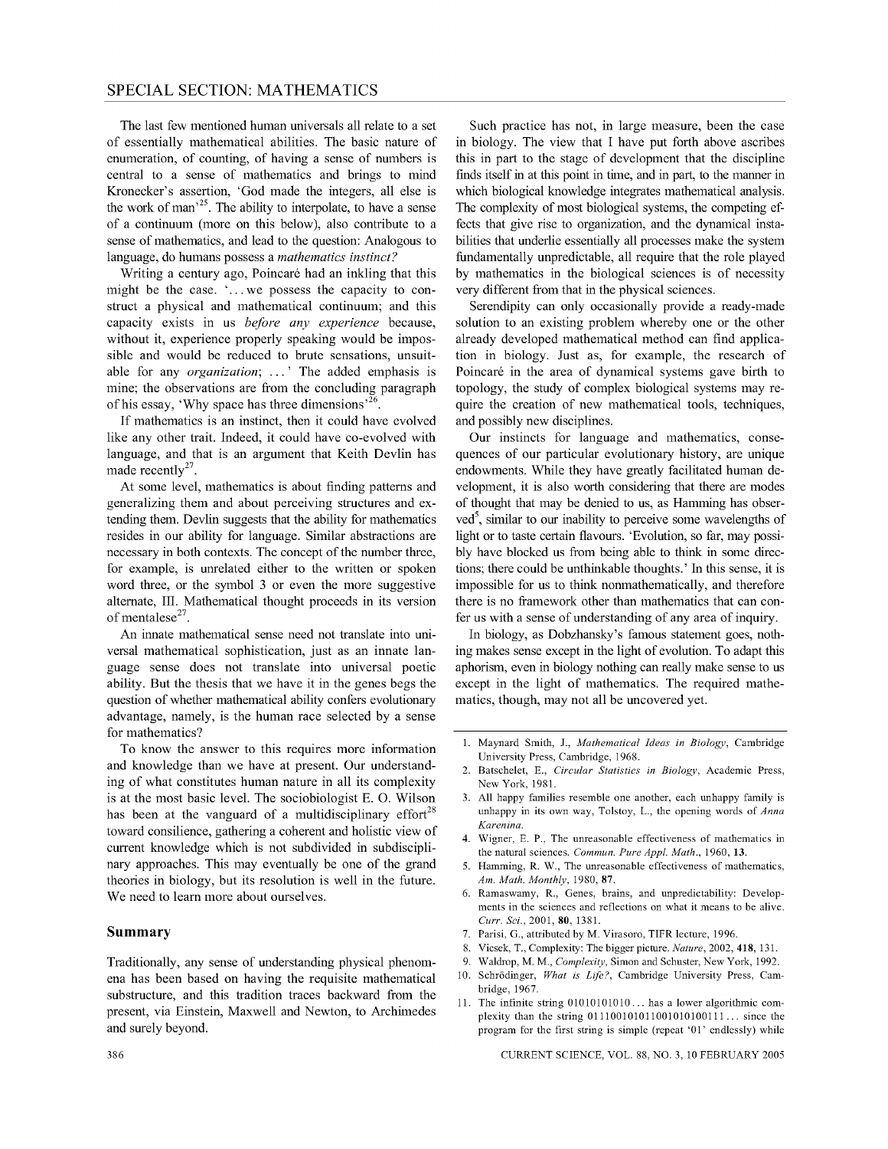The last few mentioned human universals all relate to a set of essentially mathematical abilities. The basic nature of enumeration, of counting, of having a sense of numbers is central to a sense of mathematics and brings to mind Kronecker's assertion, 'God made the integers, all else is the work of man<sup> $25$ </sup>. The ability to interpolate, to have a sense of a continuum (more on this below), also contribute to a sense of mathematics, and lead to the question: Analogous to language, do humans possess a *mathematics instinct?* 

Writing a century ago, Poincaré had an inkling that this might be the case.  $\therefore$  we possess the capacity to construct a physical and mathematical continuum; and this capacity exists in us *before any experience* because, without it, experience properly speaking would be impossible and would be reduced to brute sensations, unsuitable for any *organization;* ... ' The added emphasis is mine; the observations are from the concluding paragraph of his essay, 'Why space has three dimensions'<sup>26</sup>

If mathematics is an instinct, then it could have evolved like any other trait. Indeed, it could have co-evolved with language, and that is an argument that Keith Devlin has made recently<sup>27</sup>.

At some level, mathematics is about finding patterns and generalizing them and about perceiving structures and extending them. Devlin suggests that the ability for mathematics resides in our ability for language. Similar abstractions are necessary in both contexts. The concept of the number three, for example, is unrelated either to the written or spoken word three, or the symbol 3 or even the more suggestive alternate, III. Mathematical thought proceeds in its version of mentalese $^{27}$ .

An innate mathematical sense need not translate into universal mathematical sophistication, just as an innate language sense does not translate into universal poetic ability. But the thesis that we have it in the genes begs the question of whether mathematical ability confers evolutionary advantage, namely, is the human race selected by a sense for mathematics?

To know the answer to this requires more information and knowledge than we have at present. Our understanding of what constitutes human nature in all its complexity is at the most basic level. The sociobiologist E. O. Wilson has been at the vanguard of a multidisciplinary effort<sup>28</sup> toward consilience, gathering a coherent and holistic view of current knowledge which is not subdivided in subdisciplinary approaches. This may eventually be one of the grand theories in biology, but its resolution is well in the future. We need to learn more about ourselves.

#### **Summary**

Traditionally, any sense of understanding physical phenomena has been based on having the requisite mathematical substructure, and this tradition traces backward from the present, via Einstein, Maxwell and Newton, to Archimedes and surely beyond.

Such practice has not, in large measure, been the case in biology. The view that I have put forth above ascribes this in part to the stage of development that the discipline finds itself in at this point in time, and in part, to the manner in which biological knowledge integrates mathematical analysis. The complexity of most biological systems, the competing effects that give rise to organization, and the dynamical instabilities that underlie essentially all processes make the system fundamentally unpredictable, all require that the role played by mathematics in the biological sciences is of necessity very different from that in the physical sciences.

Serendipity can only occasionally provide a ready-made solution to an existing problem whereby one or the other already developed mathematical method can find application in biology. Just as, for example, the research of Poincaré in the area of dynamical systems gave birth to topology, the study of complex biological systems may require the creation of new mathematical tools, techniques, and possibly new disciplines.

Our instincts for language and mathematics, consequences of our particular evolutionary history, are unique endowments. While they have greatly facilitated human development, it is also worth considering that there are modes of thought that may be denied to us, as Hamming has observed<sup>5</sup>, similar to our inability to perceive some wavelengths of light or to taste certain flavours. 'Evolution, so far, may possibly have blocked us from being able to think in some directions; there could be unthinkable thoughts.' In this sense, it is impossible for us to think nonmathematically, and therefore there is no framework other than mathematics that can confer us with a sense of understanding of any area of inquiry.

In biology, as Dobzhansky's famous statement goes, nothing makes sense except in the light of evolution. To adapt this aphorism, even in biology nothing can really make sense to us except in the light of mathematics. The required mathematics, though, may not all be uncovered yet.

- 1. Maynard Smith, J., *Mathematical Ideas in Biology,* Cambridge University Press, Cambridge, 1968.
- 2. Batsche1et, E., *Circular Statistics in Biology,* Academic Press, New York, 1981.
- 3. All happy families resemble one another, each unhappy family is unhappy in its own way, Tolstoy, L., the opening words of *Anna Karenina.*
- 4. Wigner, E. P., The unreasonable effectiveness of mathematics in the natural sciences. *Commun. Pure Appl. Math.,* 1960, 13.
- Hamming, R. W., The unreasonable effectiveness of mathematics, *Am. Math. Monthly,* 1980,87.
- 6. Ramaswamy, R., Genes, brains, and unpredictability: Developments in the sciences and reflections on what it means to be alive. Curr. Sci., 2001, 80, 1381.
- 7. Parisi, G., attributed by M. Virasoro, TIFR lecture, 1996.
- 8. Vicsek, T., Complexity: The bigger picture. *Nature,* 2002, 418, 131.
- 9. Waldrop, M. M., *Complexity,* Simon and Schuster, New York, 1992.
- 10. Schrodinger, *What is Life?,* Cambridge University Press, Cambridge, 1967.
- 11. The infinite string 01010101010 ... has a lower algorithmic complexity than the string 011100101011001010100111 ... since the program for the first string is simple (repeat '01' endlessly) while

CURRENT SCIENCE, VOL. 88, NO.3, 10 FEBRUARY 2005